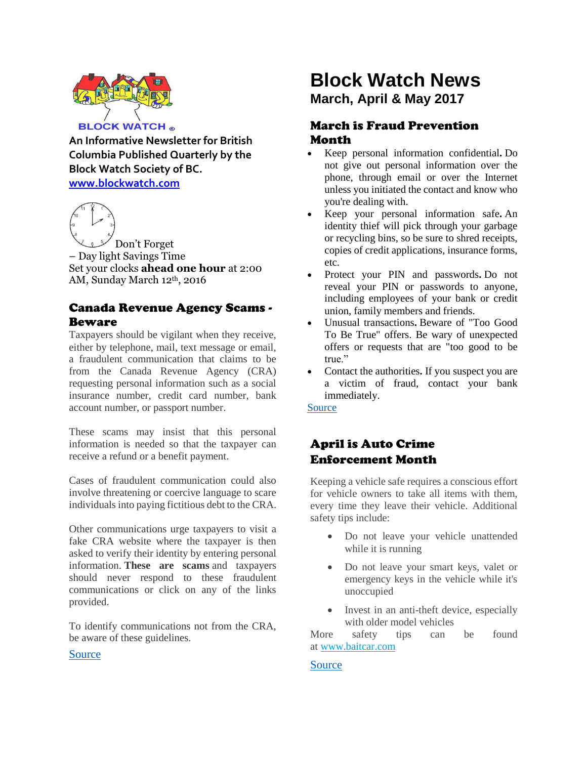

**An Informative Newsletter for British Columbia Published Quarterly by the Block Watch Society of BC. [www.blockwatch.com](http://www.blockwatch.com/)**



– Day light Savings Time Set your clocks **ahead one hour** at 2:00 AM, Sunday March 12th, 2016

## Canada Revenue Agency Scams - Beware

Taxpayers should be vigilant when they receive, either by telephone, mail, text message or email, a fraudulent communication that claims to be from the Canada Revenue Agency (CRA) requesting personal information such as a social insurance number, credit card number, bank account number, or passport number.

These scams may insist that this personal information is needed so that the taxpayer can receive a refund or a benefit payment.

Cases of fraudulent communication could also involve threatening or coercive language to scare individuals into paying fictitious debt to the CRA.

Other communications urge taxpayers to visit a fake CRA website where the taxpayer is then asked to verify their identity by entering personal information. **These are scams** and taxpayers should never respond to these fraudulent communications or click on any of the links provided.

To identify communications not from the CRA, be aware of these guidelines.

# [Source](http://www.cra-arc.gc.ca/scrty/frdprvntn/menu-eng.html)

# **Block Watch News March, April & May 2017**

## March is Fraud Prevention Month

- Keep personal information [confidential](http://www.rbc.com/privacysecurity/ca/protecting-your-information.html)**.** Do not give out personal information over the phone, through email or over the Internet unless you initiated the contact and know who you're dealing with.
- Keep your personal [information](http://www.rbc.com/privacysecurity/ca/identity-theft.html) safe**.** An identity thief will pick through your garbage or recycling bins, so be sure to shred receipts, copies of credit applications, insurance forms, etc.
- Protect your PIN and [passwords](http://www.rbc.com/privacysecurity/ca/securing-your-passwords.html)**.** Do not reveal your PIN or passwords to anyone, including employees of your bank or credit union, family members and friends.
- Unusual [transactions](http://www.rbc.com/privacysecurity/ca/protect-yourself-from-common-scams.html)**.** Beware of "Too Good To Be True" offers. Be wary of unexpected offers or requests that are "too good to be true."
- Contact the [authorities](http://www.rbc.com/privacysecurity/ca/contact-us.html). If you suspect you are a victim of fraud, contact your bank immediately.

#### [Source](http://www.rbc.com/privacysecurity/ca/alert-fraud-prevention-month.html)

## April is Auto Crime Enforcement Month

Keeping a vehicle safe requires a conscious effort for vehicle owners to take all items with them, every time they leave their vehicle. Additional safety tips include:

- Do not leave your vehicle unattended while it is running
- Do not leave your smart keys, valet or emergency keys in the vehicle while it's unoccupied
- Invest in an anti-theft device, especially with older model vehicles

More safety tips can be found at [www.baitcar.com](http://www.baitcar.com/10_tips_avoid_auto_crime)

#### [Source](http://www.icbc.com/about-icbc/newsroom/Pages/2016Mar24.aspx)